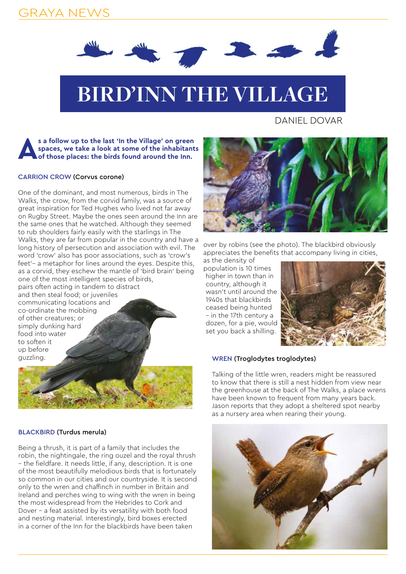## GRAYA NEWS



# **BIRD'INN THE VILLAGE**

DANIEL DOVAR

### s a follow up to the last 'In the Village' on green spaces, we take a look at some of the inhabitant of those places: the birds found around the Inn. **spaces, we take a look at some of the inhabitants of those places: the birds found around the Inn.**

#### CARRION CROW (Corvus corone)

One of the dominant, and most numerous, birds in The Walks, the crow, from the corvid family, was a source of great inspiration for Ted Hughes who lived not far away on Rugby Street. Maybe the ones seen around the Inn are the same ones that he watched. Although they seemed to rub shoulders fairly easily with the starlings in The Walks, they are far from popular in the country and have a long history of persecution and association with evil. The word 'crow' also has poor associations, such as 'crow's feet'– a metaphor for lines around the eyes. Despite this, as a corvid, they eschew the mantle of 'bird brain' being one of the most intelligent species of birds,

pairs often acting in tandem to distract and then steal food; or juveniles communicating locations and co-ordinate the mobbing of other creatures; or simply dunking hard food into water to soften it up before guzzling.



#### BLACKBIRD (Turdus merula)

Being a thrush, it is part of a family that includes the robin, the nightingale, the ring ouzel and the royal thrush – the fieldfare. It needs little, if any, description. It is one of the most beautifully melodious birds that is fortunately so common in our cities and our countryside. It is second only to the wren and chaffinch in number in Britain and Ireland and perches wing to wing with the wren in being the most widespread from the Hebrides to Cork and Dover – a feat assisted by its versatility with both food and nesting material. Interestingly, bird boxes erected in a corner of the Inn for the blackbirds have been taken



over by robins (see the photo). The blackbird obviously appreciates the benefits that accompany living in cities,

as the density of population is 10 times higher in town than in country, although it wasn't until around the 1940s that blackbirds ceased being hunted – in the 17th century a dozen, for a pie, would set you back a shilling.



#### WREN (Troglodytes troglodytes)

Talking of the little wren, readers might be reassured to know that there is still a nest hidden from view near the greenhouse at the back of The Walks, a place wrens have been known to frequent from many years back. Jason reports that they adopt a sheltered spot nearby as a nursery area when rearing their young.

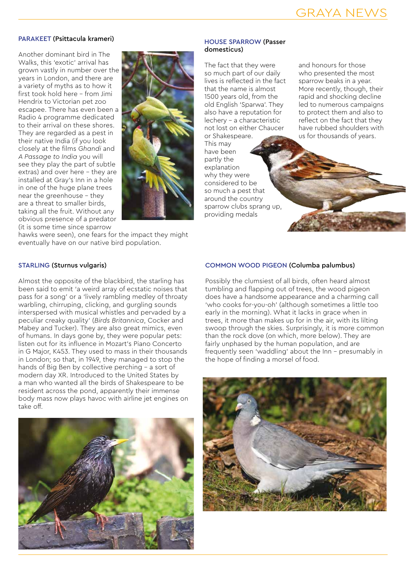#### PARAKEET (Psittacula krameri)

Another dominant bird in The Walks, this 'exotic' arrival has grown vastly in number over the years in London, and there are a variety of myths as to how it first took hold here – from Jimi Hendrix to Victorian pet zoo escapee. There has even been a Radio 4 programme dedicated to their arrival on these shores. They are regarded as a pest in their native India (if you look closely at the films *Ghandi* and *A Passage to India* you will see they play the part of subtle extras) and over here – they are installed at Gray's Inn in a hole in one of the huge plane trees near the greenhouse – they are a threat to smaller birds, taking all the fruit. Without any obvious presence of a predator (it is some time since sparrow



hawks were seen), one fears for the impact they might eventually have on our native bird population.

#### HOUSE SPARROW (Passer domesticus)

The fact that they were so much part of our daily lives is reflected in the fact that the name is almost 1500 years old, from the old English 'Sparwa'. They also have a reputation for lechery – a characteristic not lost on either Chaucer or Shakespeare.

This may have been partly the explanation why they were considered to be so much a pest that around the country sparrow clubs sprang up, providing medals

and honours for those who presented the most sparrow beaks in a year. More recently, though, their rapid and shocking decline led to numerous campaigns to protect them and also to reflect on the fact that they have rubbed shoulders with us for thousands of years.

#### STARLING (Sturnus vulgaris)

Almost the opposite of the blackbird, the starling has been said to emit 'a weird array of ecstatic noises that pass for a song' or a 'lively rambling medley of throaty warbling, chirruping, clicking, and gurgling sounds interspersed with musical whistles and pervaded by a peculiar creaky quality' (*Birds Britannica*, Cocker and Mabey and Tucker). They are also great mimics, even of humans. In days gone by, they were popular pets: listen out for its influence in Mozart's Piano Concerto in G Major, K453. They used to mass in their thousands in London; so that, in 1949, they managed to stop the hands of Big Ben by collective perching – a sort of modern day XR. Introduced to the United States by a man who wanted all the birds of Shakespeare to be resident across the pond, apparently their immense body mass now plays havoc with airline jet engines on take off.



#### COMMON WOOD PIGEON (Columba palumbus)

Possibly the clumsiest of all birds, often heard almost tumbling and flapping out of trees, the wood pigeon does have a handsome appearance and a charming call 'who cooks for-you-oh' (although sometimes a little too early in the morning). What it lacks in grace when in trees, it more than makes up for in the air, with its lilting swoop through the skies. Surprisingly, it is more common than the rock dove (on which, more below). They are fairly unphased by the human population, and are frequently seen 'waddling' about the Inn – presumably in the hope of finding a morsel of food.